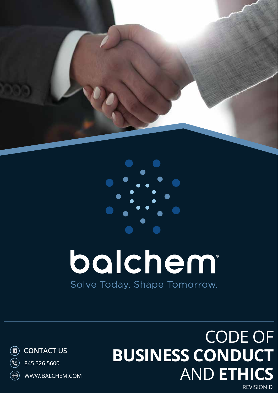



# balchem Solve Today. Shape Tomorrow.

 $\left(\mathbf{E}\right)$ **CONTACT US**  $\left(\begin{matrix} \bullet \\ \bullet \end{matrix}\right)$ 

845.326.5600

 $\circledast$ 

CODE OF **BUSINESS CONDUCT**  AND **ETHICS** REVISION D

WWW.BALCHEM.COM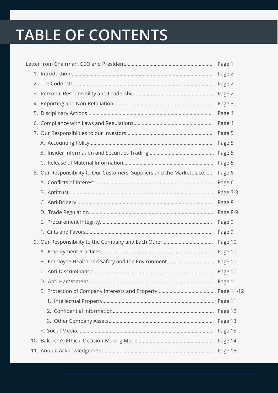## **TABLE OF CONTENTS**

|                                                                       | Page 1     |
|-----------------------------------------------------------------------|------------|
|                                                                       | Page 2     |
|                                                                       | Page 2     |
|                                                                       | Page 2     |
|                                                                       | Page 3     |
|                                                                       | Page 4     |
|                                                                       | Page 4     |
|                                                                       | Page 5     |
|                                                                       | Page 5     |
|                                                                       | Page 5     |
|                                                                       | Page 5     |
| 8. Our Responsibility to Our Customers, Suppliers and the Marketplace | Page 6     |
|                                                                       | Page 6     |
|                                                                       | Page 7-8   |
|                                                                       | Page 8     |
|                                                                       | Page 8-9   |
|                                                                       | Page 9     |
|                                                                       | Page 9     |
|                                                                       | Page 10    |
|                                                                       | Page 10    |
| B. Employee Health and Safety and the Environment                     | Page 10    |
|                                                                       |            |
|                                                                       | Page 11    |
|                                                                       | Page 11-12 |
|                                                                       | Page 11    |
|                                                                       | Page 12    |
|                                                                       | Page 13    |
|                                                                       | Page 13    |
|                                                                       | Page 14    |
|                                                                       |            |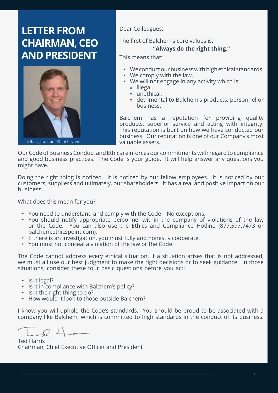### **LETTER FROM CHAIRMAN, CEO AND PRESIDENT**



Ted Harris, Chairman, CEO and President

Dear Colleagues:

The first of Balchem's core values is:

#### **"Always do the right thing."**

This means that:

- We conduct our business with high ethical standards.
- We comply with the law.
- We will not engage in any activity which is:
	- » illegal,
	- » unethical,
	- » detrimental to Balchem's products, personnel or business.

Balchem has a reputation for providing quality products, superior service and acting with integrity. This reputation is built on how we have conducted our business. Our reputation is one of our Company's most valuable assets.

Our Code of Business Conduct and Ethics reinforces our commitments with regard to compliance and good business practices. The Code is your guide. It will help answer any questions you might have.

Doing the right thing is noticed. It is noticed by our fellow employees. It is noticed by our customers, suppliers and ultimately, our shareholders. It has a real and positive impact on our business.

What does this mean for you?

- You need to understand and comply with the Code No exceptions,
- You should notify appropriate personnel within the company of violations of the law or the Code. You can also use the Ethics and Compliance Hotline (877.597.7473 or balchem.ethicspoint.com),
- If there is an investigation, you must fully and honestly cooperate,
- You must not conceal a violation of the law or the Code.

The Code cannot address every ethical situation. If a situation arises that is not addressed, we must all use our best judgment to make the right decisions or to seek guidance. In those situations, consider these four basic questions before you act:

- Is it legal?
- Is it in compliance with Balchem's policy?
- Is it the right thing to do?
- How would it look to those outside Balchem?

I know you will uphold the Code's standards. You should be proud to be associated with a company like Balchem, which is committed to high standards in the conduct of its business.

Ted Harris Chairman, Chief Executive Officer and President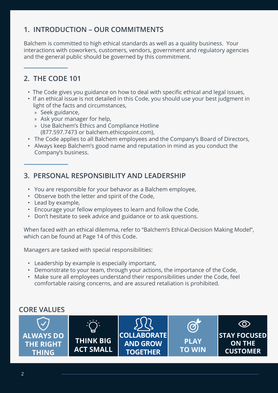### **1. INTRODUCTION – OUR COMMITMENTS**

Balchem is committed to high ethical standards as well as a quality business. Your interactions with coworkers, customers, vendors, government and regulatory agencies and the general public should be governed by this commitment.

### **2. THE CODE 101**

- The Code gives you guidance on how to deal with specific ethical and legal issues,
- If an ethical issue is not detailed in this Code, you should use your best judgment in light of the facts and circumstances,
	- » Seek guidance,
	- » Ask your manager for help,
	- » Use Balchem's Ethics and Compliance Hotline (877.597.7473 or balchem.ethicspoint.com),
- The Code applies to all Balchem employees and the Company's Board of Directors,
- Always keep Balchem's good name and reputation in mind as you conduct the Company's business.

### **3. PERSONAL RESPONSIBILITY AND LEADERSHIP**

- You are responsible for your behavor as a Balchem employee,
- Observe both the letter and spirit of the Code,
- Lead by example,
- Encourage your fellow employees to learn and follow the Code,
- Don't hesitate to seek advice and guidance or to ask questions.

When faced with an ethical dilemma, refer to "Balchem's Ethical-Decision Making Model", which can be found at Page 14 of this Code.

Managers are tasked with special responsibilities:

- Leadership by example is especially important,
- Demonstrate to your team, through your actions, the importance of the Code,
- Make sure all employees understand their responsibilities under the Code, feel comfortable raising concerns, and are assured retaliation is prohibited.

### **CORE VALUES**

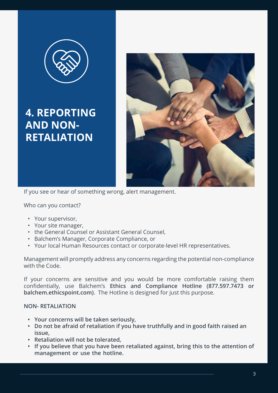

### **4. REPORTING AND NON-RETALIATION**



If you see or hear of something wrong, alert management.

Who can you contact?

- Your supervisor,
- Your site manager,
- the General Counsel or Assistant General Counsel,
- Balchem's Manager, Corporate Compliance, or
- Your local Human Resources contact or corporate-level HR representatives.

Management will promptly address any concerns regarding the potential non-compliance with the Code.

If your concerns are sensitive and you would be more comfortable raising them confidentially, use Balchem's **Ethics and Compliance Hotline (877.597.7473 or balchem.ethicspoint.com)**. The Hotline is designed for just this purpose.

#### **NON- RETALIATION**

- **• Your concerns will be taken seriously,**
- **• Do not be afraid of retaliation if you have truthfully and in good faith raised an issue,**
- **• Retaliation will not be tolerated,**
- **• If you believe that you have been retaliated against, bring this to the attention of management or use the hotline.**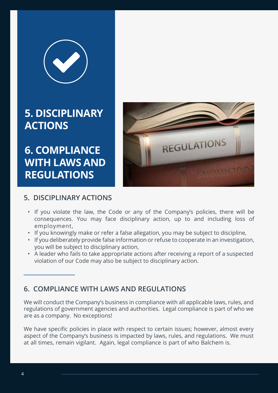

### **5. DISCIPLINARY ACTIONS**

**6. COMPLIANCE WITH LAWS AND REGULATIONS**



### **5. DISCIPLINARY ACTIONS**

- If you violate the law, the Code or any of the Company's policies, there will be consequences. You may face disciplinary action, up to and including loss of employment,
- If you knowingly make or refer a false allegation, you may be subject to discipline,
- If you deliberately provide false information or refuse to cooperate in an investigation, you will be subject to disciplinary action,
- A leader who fails to take appropriate actions after receiving a report of a suspected violation of our Code may also be subject to disciplinary action.

### **6. COMPLIANCE WITH LAWS AND REGULATIONS**

We will conduct the Company's business in compliance with all applicable laws, rules, and regulations of government agencies and authorities. Legal compliance is part of who we are as a company. No exceptions!

We have specific policies in place with respect to certain issues; however, almost every aspect of the Company's business is impacted by laws, rules, and regulations. We must at all times, remain vigilant. Again, legal compliance is part of who Balchem is.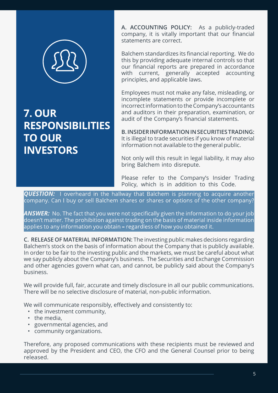

### **7. OUR RESPONSIBILITIES TO OUR INVESTORS**

**A. ACCOUNTING POLICY:** As a publicly-traded company, it is vitally important that our financial statements are correct.

Balchem standardizes its financial reporting. We do this by providing adequate internal controls so that our financial reports are prepared in accordance with current, generally accepted accounting principles, and applicable laws.

Employees must not make any false, misleading, or incomplete statements or provide incomplete or incorrect information to the Company's accountants and auditors in their preparation, examination, or audit of the Company's financial statements.

**B. INSIDER INFORMATION IN SECURITIES TRADING:** It is illegal to trade securities if you know of material information not available to the general public.

Not only will this result in legal liability, it may also bring Balchem into disrepute.

Please refer to the Company's Insider Trading Policy, which is in addition to this Code.

**QUESTION:** I overheard in the hallway that Balchem is planning to acquire another company. Can I buy or sell Balchem shares or shares or options of the other company?

*ANSWER:* No. The fact that you were not specifically given the information to do your job doesn't matter. The prohibition against trading on the basis of material inside information applies to any information you obtain – regardless of how you obtained it.

**C. RELEASE OF MATERIAL INFORMATION:** The investing public makes decisions regarding Balchem's stock on the basis of information about the Company that is publicly available. In order to be fair to the investing public and the markets, we must be careful about what we say publicly about the Company's business. The Securities and Exchange Commission and other agencies govern what can, and cannot, be publicly said about the Company's business.

We will provide full, fair, accurate and timely disclosure in all our public communications. There will be no selective disclosure of material, non-public information.

We will communicate responsibly, effectively and consistently to:

- the investment community,
- the media,
- governmental agencies, and
- community organizations.

Therefore, any proposed communications with these recipients must be reviewed and approved by the President and CEO, the CFO and the General Counsel prior to being released.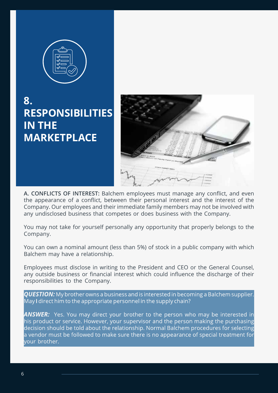

**8. RESPONSIBILITIES IN THE MARKETPLACE**



**A. CONFLICTS OF INTEREST:** Balchem employees must manage any conflict, and even the appearance of a conflict, between their personal interest and the interest of the Company. Our employees and their immediate family members may not be involved with any undisclosed business that competes or does business with the Company.

You may not take for yourself personally any opportunity that properly belongs to the Company.

You can own a nominal amount (less than 5%) of stock in a public company with which Balchem may have a relationship.

Employees must disclose in writing to the President and CEO or the General Counsel, any outside business or financial interest which could influence the discharge of their responsibilities to the Company.

*QUESTION:* My brother owns a business and is interested in becoming a Balchem supplier. May I direct him to the appropriate personnel in the supply chain?

*ANSWER:* Yes. You may direct your brother to the person who may be interested in his product or service. However, your supervisor and the person making the purchasing decision should be told about the relationship. Normal Balchem procedures for selecting a vendor must be followed to make sure there is no appearance of special treatment for your brother.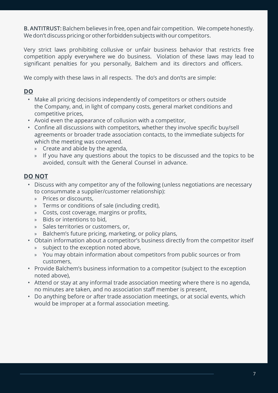**B. ANTITRUST:** Balchem believes in free, open and fair competition. We compete honestly. We don't discuss pricing or other forbidden subjects with our competitors.

Very strict laws prohibiting collusive or unfair business behavior that restricts free competition apply everywhere we do business. Violation of these laws may lead to significant penalties for you personally, Balchem and its directors and officers.

We comply with these laws in all respects. The do's and don'ts are simple:

#### **DO**

- Make all pricing decisions independently of competitors or others outside the Company, and, in light of company costs, general market conditions and competitive prices,
- Avoid even the appearance of collusion with a competitor,
- Confine all discussions with competitors, whether they involve specific buy/sell agreements or broader trade association contacts, to the immediate subjects for which the meeting was convened.
	- » Create and abide by the agenda,
	- » If you have any questions about the topics to be discussed and the topics to be avoided, consult with the General Counsel in advance.

#### **DO NOT**

- Discuss with any competitor any of the following (unless negotiations are necessary to consummate a supplier/customer relationship):
	- » Prices or discounts,
	- » Terms or conditions of sale (including credit),
	- » Costs, cost coverage, margins or profits,
	- » Bids or intentions to bid,
	- » Sales territories or customers, or,
	- » Balchem's future pricing, marketing, or policy plans,
- Obtain information about a competitor's business directly from the competitor itself
	- » subject to the exception noted above,
	- » You may obtain information about competitors from public sources or from customers,
- Provide Balchem's business information to a competitor (subject to the exception noted above),
- Attend or stay at any informal trade association meeting where there is no agenda, no minutes are taken, and no association staff member is present,
- Do anything before or after trade association meetings, or at social events, which would be improper at a formal association meeting.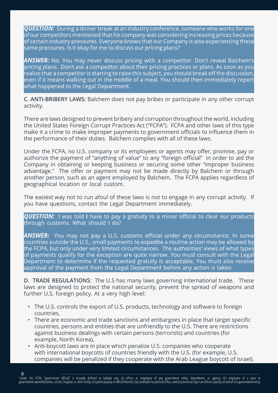*QUESTION:* During a dinner break at an industry conference, someone who works for one of our competitors mentioned that his company was considering increasing prices because of certain industry pressures. Everyone knows that our Company is also experiencing these same pressures. Is it okay for me to discuss our pricing plans?

*ANSWER:* No. You may never discuss pricing with a competitor. Don't reveal Balchem's pricing plans. Don't ask a competitor about their pricing practices or plans. As soon as you realize that a competitor is starting to raise this subject, you should break off the discussion, even if it means walking out in the middle of a meal. You should then immediately report what happened to the Legal Department.

**C. ANTI-BRIBERY LAWS:** Balchem does not pay bribes or participate in any other corrupt activity.

There are laws designed to prevent bribery and corruption throughout the world, including the United States Foreign Corrupt Practices Act ("FCPA"). FCPA and other laws of this type make it a crime to make improper payments to government officials to influence them in the performance of their duties. Balchem complies with all of these laws.

Under the FCPA, no U.S. company or its employees or agents may offer, promise, pay or authorize the payment of "anything of value" to any "foreign official" in order to aid the Company in obtaining or keeping business or securing some other "improper business advantage." The offer or payment may not be made directly by Balchem or through another person, such as an agent employed by Balchem. The FCPA applies regardless of geographical location or local custom.

The easiest way not to run afoul of these laws is not to engage in any corrupt activity. If you have questions, contact the Legal Department immediately.

**QUESTION:** I was told I have to pay a gratuity to a minor official to clear our products through customs. What should I do?

*ANSWER:* You may not pay a U.S. customs official under any circumstance. In some countries outside the U.S., small payments to expedite a routine action may be allowed by the FCPA, but only under very limited circumstances. The authorities' views of what types of payments qualify for the exception are quite narrow. You must consult with the Legal Department to determine if the requested gratuity is acceptable. You must also receive approval of the payment from the Legal Department before any action is taken.

**D. TRADE REGULATIONS:** The U.S has many laws governing international trade. These laws are designed to protect the national security, prevent the spread of weapons and further U.S. foreign policy. At a very high level:

- The U.S. controls the export of U.S. products, technology and software to foreign countries,
- There are economic and trade sanctions and embargoes in place that target specific countries, persons and entities that are unfriendly to the U.S. There are restrictions against business dealings with certain persons (terrorists) and countries (for example, North Korea),
- Anti-boycott laws are in place which penalize U.S. companies who cooperate with international boycotts of countries friendly with the U.S. (for example, U.S. companies will be penalized if they cooperate with the Arab League boycott of Israel).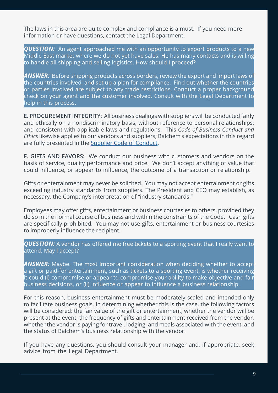The laws in this area are quite complex and compliance is a must. If you need more information or have questions, contact the Legal Department.

**QUESTION:** An agent approached me with an opportunity to export products to a new Middle East market where we do not yet have sales. He has many contacts and is willing to handle all shipping and selling logistics. How should I proceed?

*ANSWER:* Before shipping products across borders, review the export and import laws of the countries involved, and set up a plan for compliance. Find out whether the countries or parties involved are subject to any trade restrictions. Conduct a proper background check on your agent and the customer involved. Consult with the Legal Department to help in this process.

**E. PROCUREMENT INTEGRITY:** All business dealings with suppliers will be conducted fairly and ethically on a nondiscriminatory basis, without reference to personal relationships, and consistent with applicable laws and regulations. This *Code of Business Conduct and Ethics* likewise applies to our vendors and suppliers; Balchem's expectations in this regard are fully presented in the Supplier Code of Conduct.

**F. GIFTS AND FAVORS:** We conduct our business with customers and vendors on the basis of service, quality performance and price. We don't accept anything of value that could influence, or appear to influence, the outcome of a transaction or relationship.

Gifts or entertainment may never be solicited. You may not accept entertainment or gifts exceeding industry standards from suppliers. The President and CEO may establish, as necessary, the Company's interpretation of "industry standards."

Employees may offer gifts, entertainment or business courtesies to others, provided they do so in the normal course of business and within the constraints of the Code. Cash gifts are specifically prohibited. You may not use gifts, entertainment or business courtesies to improperly influence the recipient.

*QUESTION:* A vendor has offered me free tickets to a sporting event that I really want to attend. May I accept?

*ANSWER:* Maybe. The most important consideration when deciding whether to accept a gift or paid-for entertainment, such as tickets to a sporting event, is whether receiving it could (i) compromise or appear to compromise your ability to make objective and fair business decisions, or (ii) influence or appear to influence a business relationship.

For this reason, business entertainment must be moderately scaled and intended only to facilitate business goals. In determining whether this is the case, the following factors will be considered: the fair value of the gift or entertainment, whether the vendor will be present at the event, the frequency of gifts and entertainment received from the vendor, whether the vendor is paying for travel, lodging, and meals associated with the event, and the status of Balchem's business relationship with the vendor.

If you have any questions, you should consult your manager and, if appropriate, seek advice from the Legal Department.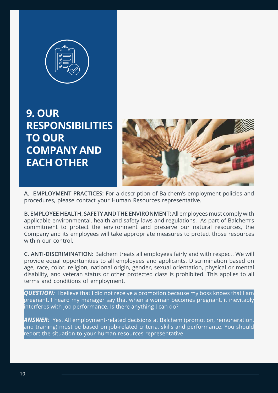

**9. OUR RESPONSIBILITIES TO OUR COMPANY AND EACH OTHER**



**A. EMPLOYMENT PRACTICES:** For a description of Balchem's employment policies and procedures, please contact your Human Resources representative.

**B. EMPLOYEE HEALTH, SAFETY AND THE ENVIRONMENT:** All employees must comply with applicable environmental, health and safety laws and regulations. As part of Balchem's commitment to protect the environment and preserve our natural resources, the Company and its employees will take appropriate measures to protect those resources within our control.

**C. ANTI-DISCRIMINATION:** Balchem treats all employees fairly and with respect. We will provide equal opportunities to all employees and applicants. Discrimination based on age, race, color, religion, national origin, gender, sexual orientation, physical or mental disability, and veteran status or other protected class is prohibited. This applies to all terms and conditions of employment.

*QUESTION:* I believe that I did not receive a promotion because my boss knows that I am pregnant. I heard my manager say that when a woman becomes pregnant, it inevitably interferes with job performance. Is there anything I can do?

*ANSWER:* Yes. All employment-related decisions at Balchem (promotion, remuneration, and training) must be based on job-related criteria, skills and performance. You should report the situation to your human resources representative.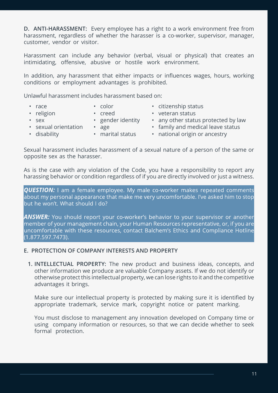**D. ANTI-HARASSMENT:** Every employee has a right to a work environment free from harassment, regardless of whether the harasser is a co-worker, supervisor, manager, customer, vendor or visitor.

Harassment can include any behavior (verbal, visual or physical) that creates an intimidating, offensive, abusive or hostile work environment.

In addition, any harassment that either impacts or influences wages, hours, working conditions or employment advantages is prohibited.

Unlawful harassment includes harassment based on:

- 
- race color corrective values color citizenship status
- religion creed veteran status
- sex gender identity any other status protected by law
- sexual orientation age family and medical leave status
	-
- disability marital status national origin or ancestry

Sexual harassment includes harassment of a sexual nature of a person of the same or opposite sex as the harasser.

As is the case with any violation of the Code, you have a responsibility to report any harassing behavior or condition regardless of if you are directly involved or just a witness.

*QUESTION:* I am a female employee. My male co-worker makes repeated comments about my personal appearance that make me very uncomfortable. I've asked him to stop but he won't. What should I do?

*ANSWER:* You should report your co-worker's behavior to your supervisor or another member of your management chain, your Human Resources representative, or, if you are uncomfortable with these resources, contact Balchem's Ethics and Compliance Hotline (1.877.597.7473).

#### **E. PROTECTION OF COMPANY INTERESTS AND PROPERTY**

**1. INTELLECTUAL PROPERTY:** The new product and business ideas, concepts, and other information we produce are valuable Company assets. If we do not identify or otherwise protect this intellectual property, we can lose rights to it and the competitive advantages it brings.

Make sure our intellectual property is protected by making sure it is identified by appropriate trademark, service mark, copyright notice or patent marking.

You must disclose to management any innovation developed on Company time or using company information or resources, so that we can decide whether to seek formal protection.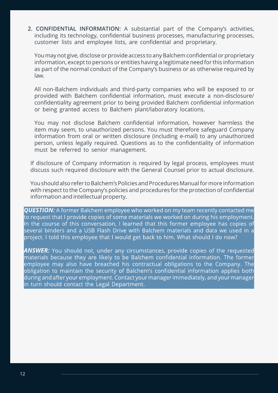**2. CONFIDENTIAL INFORMATION:** A substantial part of the Company's activities, including its technology, confidential business processes, manufacturing processes, customer lists and employee lists, are confidential and proprietary.

You may not give, disclose or provide access to any Balchem confidential or proprietary information, except to persons or entities having a legitimate need for this information as part of the normal conduct of the Company's business or as otherwise required by law.

All non-Balchem individuals and third-party companies who will be exposed to or provided with Balchem confidential information, must execute a non-disclosure/ confidentiality agreement prior to being provided Balchem confidential information or being granted access to Balchem plant/laboratory locations.

You may not disclose Balchem confidential information, however harmless the item may seem, to unauthorized persons. You must therefore safeguard Company information from oral or written disclosure (including e-mail) to any unauthorized person, unless legally required. Questions as to the confidentiality of information must be referred to senior management.

If disclosure of Company information is required by legal process, employees must discuss such required disclosure with the General Counsel prior to actual disclosure.

You should also refer to Balchem's Policies and Procedures Manual for more information with respect to the Company's policies and procedures for the protection of confidential information and intellectual property.

*QUESTION:* A former Balchem employee who worked on my team recently contacted me to request that I provide copies of some materials we worked on during his employment. In the course of this conversation, I learned that this former employee has copies of several binders and a USB Flash Drive with Balchem materials and data we used in a project. I told this employee that I would get back to him. What should I do now?

*ANSWER:* You should not, under any circumstances, provide copies of the requested materials because they are likely to be Balchem confidential information. The former employee may also have breached his contractual obligations to the Company. The obligation to maintain the security of Balchem's confidential information applies both during and after your employment. Contact your manager immediately, and your manager in turn should contact the Legal Department.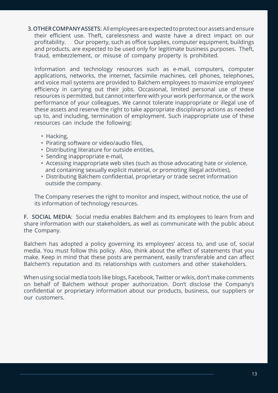**3. OTHER COMPANY ASSETS:** All employees are expected to protect our assets and ensure their efficient use. Theft, carelessness and waste have a direct impact on our profitability. Our property, such as office supplies, computer equipment, buildings and products, are expected to be used only for legitimate business purposes. Theft, fraud, embezzlement, or misuse of company property is prohibited.

Information and technology resources such as e-mail, computers, computer applications, networks, the internet, facsimile machines, cell phones, telephones, and voice mail systems are provided to Balchem employees to maximize employees' efficiency in carrying out their jobs. Occasional, limited personal use of these resources is permitted, but cannot interfere with your work performance, or the work performance of your colleagues. We cannot tolerate inappropriate or illegal use of these assets and reserve the right to take appropriate disciplinary actions as needed up to, and including, termination of employment. Such inappropriate use of these resources can include the following:

- Hacking,
- Pirating software or video/audio files,
- Distributing literature for outside entities,
- Sending inappropriate e-mail,
- Accessing inappropriate web sites (such as those advocating hate or violence, and containing sexually explicit material, or promoting illegal activities),
- Distributing Balchem confidential, proprietary or trade secret information outside the company.

The Company reserves the right to monitor and inspect, without notice, the use of its information of technology resources.

**F. SOCIAL MEDIA**: Social media enables Balchem and its employees to learn from and share information with our stakeholders, as well as communicate with the public about the Company.

Balchem has adopted a policy governing its employees' access to, and use of, social media. You must follow this policy. Also, think about the effect of statements that you make. Keep in mind that these posts are permanent, easily transferable and can affect Balchem's reputation and its relationships with customers and other stakeholders.

When using social media tools like blogs, Facebook, Twitter or wikis, don't make comments on behalf of Balchem without proper authorization. Don't disclose the Company's confidential or proprietary information about our products, business, our suppliers or our customers.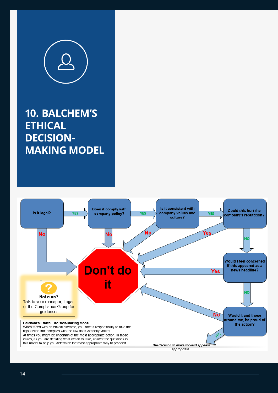

### **10. BALCHEM'S ETHICAL DECISION-MAKING MODEL**

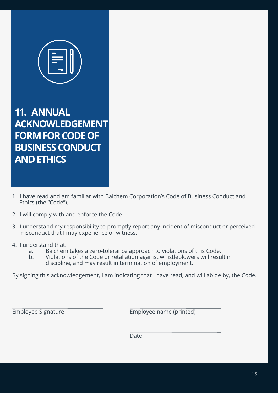

**11. ANNUAL ACKNOWLEDGEMENT FORM FOR CODE OF BUSINESS CONDUCT AND ETHICS**

- 1. I have read and am familiar with Balchem Corporation's Code of Business Conduct and Ethics (the "Code").
- 2. I will comply with and enforce the Code.
- 3. I understand my responsibility to promptly report any incident of misconduct or perceived misconduct that I may experience or witness.
- 4. I understand that:
	- a. Balchem takes a zero-tolerance approach to violations of this Code,
	- b. Violations of the Code or retaliation against whistleblowers will result in discipline, and may result in termination of employment.

By signing this acknowledgement, I am indicating that I have read, and will abide by, the Code.

**Employee Signature** Employee name (printed)

<u>Date</u> and the contract of the contract of the Date of the Contract of the Contract of the Contract of the Contract of the Contract of the Contract of the Contract of the Contract of the Contract of the Contract of the Con